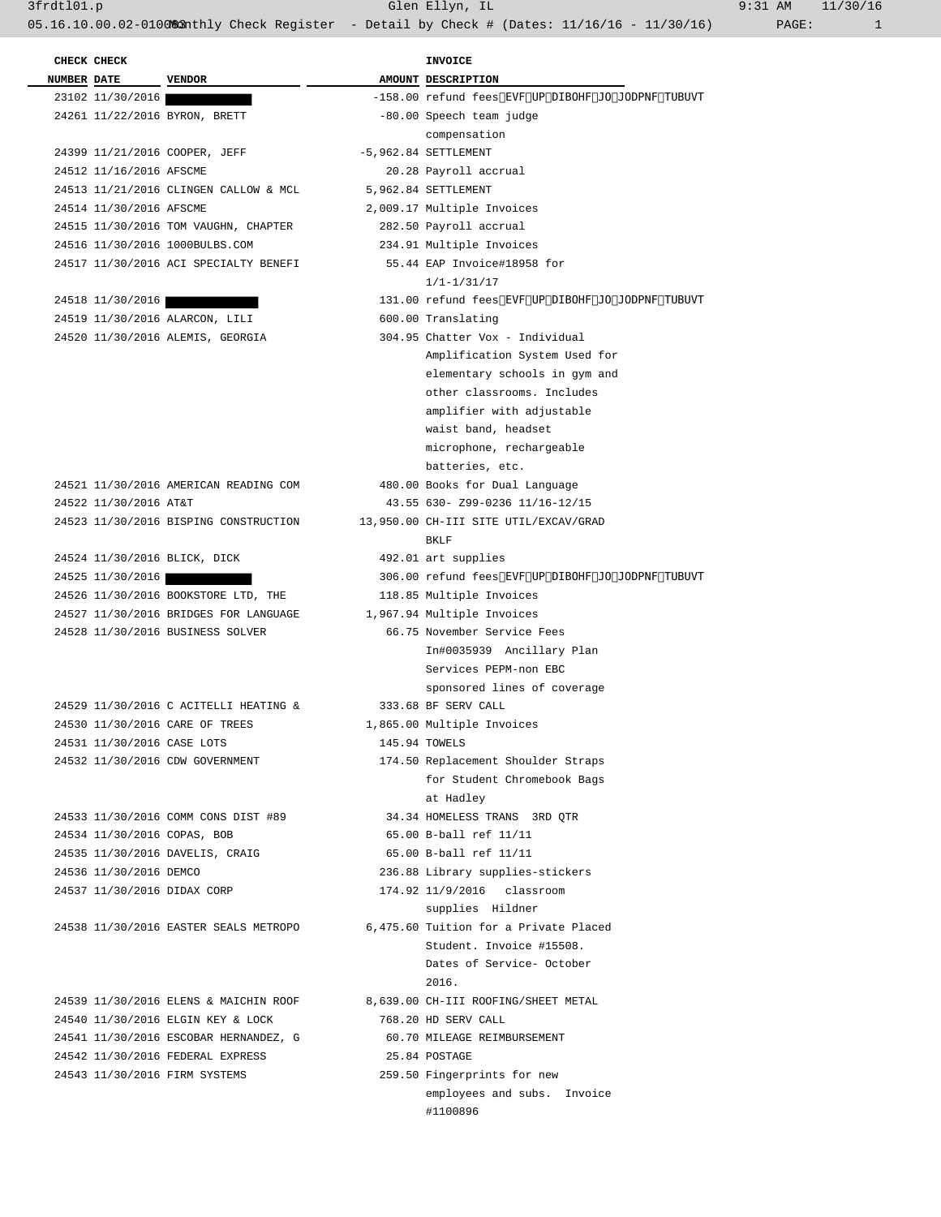| <b>NUMBER DATE</b> |                         | <b>VENDOR</b>                         | AMOUNT DESCRIPTION             |
|--------------------|-------------------------|---------------------------------------|--------------------------------|
|                    | 23102 11/30/2016        |                                       | -158.00 refund fees due to cha |
|                    |                         | 24261 11/22/2016 BYRON, BRETT         | -80.00 Speech team judge       |
|                    |                         |                                       | compensation                   |
|                    |                         | 24399 11/21/2016 COOPER, JEFF         | $-5.962.84$ SETTLEMENT         |
|                    | 24512 11/16/2016 AFSCME |                                       | 20.28 Payroll accrual          |
|                    |                         | 24513 11/21/2016 CLINGEN CALLOW & MCL | 5,962.84 SETTLEMENT            |
|                    | 24514 11/30/2016 AFSCME |                                       | 2,009.17 Multiple Invoices     |
|                    |                         | 24515 11/30/2016 TOM VAUGHN, CHAPTER  | 282.50 Payroll accrual         |
|                    |                         | 24516 11/30/2016 1000BULBS.COM        | 234.91 Multiple Invoices       |
|                    |                         | 24517 11/30/2016 ACI SPECIALTY BENEFI | 55.44 EAP Invoice#18958 for    |
|                    |                         |                                       | $1/1 - 1/31/17$                |
|                    |                         |                                       |                                |

| 4518 11/30/4016                  | 131.UU retung tees |
|----------------------------------|--------------------|
| 24519 11/30/2016 ALARCON, LILI   | 600.00 Translating |
| 24520 11/30/2016 ALEMIS, GEORGIA | 304.95 Chatter Vox |

|  | 24521 11/30/2016 AMERICAN READING COM |  | 480.00 Books    |       |
|--|---------------------------------------|--|-----------------|-------|
|  | 24522 11/30/2016 AT&T                 |  | $43.55630 -$    |       |
|  | 24523 11/30/2016 BISPING CONSTRUCTION |  | 13,950.00 CH-II |       |
|  |                                       |  |                 | RKT.F |

```
24524 11/30/2016 BLICK, DICK
24526 11/30/2016 BOOKSTORE LTD, THE
24527 11/30/2016 BRIDGES FOR LANGUAGE
24528 11/30/2016 BUSINESS SOLVER
```

```
24529 11/30/2016 C ACITELLI HEATING &
24530 11/30/2016 CARE OF TREES
24531 11/30/2016 CASE LOTS
24532 11/30/2016 CDW GOVERNMENT
```
24539 11/30/2016 ELENS & MAICHIN ROOF 24540 11/30/2016 ELGIN KEY & LOCK 24541 11/30/2016 ESCOBAR HERNANDEZ, G 24542 11/30/2016 FEDERAL EXPRESS 24543 11/30/2016 FIRM SYSTEMS

| CHECK CHECK                |                                       | INVOICE |                                                    |  |
|----------------------------|---------------------------------------|---------|----------------------------------------------------|--|
| <b>NUMBER DATE</b>         | <b>VENDOR</b>                         |         | AMOUNT DESCRIPTION                                 |  |
| 23102 11/30/2016           |                                       |         | -158.00 refund fees due to change in income status |  |
|                            | 24261 11/22/2016 BYRON, BRETT         |         | -80.00 Speech team judge                           |  |
|                            |                                       |         | compensation                                       |  |
|                            | 24399 11/21/2016 COOPER, JEFF         |         | $-5,962.84$ SETTLEMENT                             |  |
| 24512 11/16/2016 AFSCME    |                                       |         | 20.28 Payroll accrual                              |  |
|                            | 24513 11/21/2016 CLINGEN CALLOW & MCL |         | 5,962.84 SETTLEMENT                                |  |
| 24514 11/30/2016 AFSCME    |                                       |         | 2,009.17 Multiple Invoices                         |  |
|                            | 24515 11/30/2016 TOM VAUGHN, CHAPTER  |         | 282.50 Payroll accrual                             |  |
|                            | 24516 11/30/2016 1000BULBS.COM        |         | 234.91 Multiple Invoices                           |  |
|                            | 24517 11/30/2016 ACI SPECIALTY BENEFI |         | 55.44 EAP Invoice#18958 for                        |  |
|                            |                                       |         | $1/1 - 1/31/17$                                    |  |
| 24518 11/30/2016           |                                       |         | 131.00 refund fees due to change in income status  |  |
|                            | 24519 11/30/2016 ALARCON, LILI        |         | 600.00 Translating                                 |  |
|                            | 24520 11/30/2016 ALEMIS, GEORGIA      |         | 304.95 Chatter Vox - Individual                    |  |
|                            |                                       |         | Amplification System Used for                      |  |
|                            |                                       |         | elementary schools in gym and                      |  |
|                            |                                       |         | other classrooms. Includes                         |  |
|                            |                                       |         | amplifier with adjustable                          |  |
|                            |                                       |         | waist band, headset                                |  |
|                            |                                       |         | microphone, rechargeable                           |  |
|                            |                                       |         | batteries, etc.                                    |  |
|                            | 24521 11/30/2016 AMERICAN READING COM |         | 480.00 Books for Dual Language                     |  |
| 24522 11/30/2016 AT&T      |                                       |         | 43.55 630- Z99-0236 11/16-12/15                    |  |
|                            | 24523 11/30/2016 BISPING CONSTRUCTION |         | 13,950.00 CH-III SITE UTIL/EXCAV/GRAD              |  |
|                            |                                       |         | BKLF                                               |  |
|                            | 24524 11/30/2016 BLICK, DICK          |         | 492.01 art supplies                                |  |
| 24525 11/30/2016           |                                       |         | 306.00 refund fees due to change in income status  |  |
|                            | 24526 11/30/2016 BOOKSTORE LTD, THE   |         | 118.85 Multiple Invoices                           |  |
|                            | 24527 11/30/2016 BRIDGES FOR LANGUAGE |         | 1,967.94 Multiple Invoices                         |  |
|                            | 24528 11/30/2016 BUSINESS SOLVER      |         | 66.75 November Service Fees                        |  |
|                            |                                       |         | In#0035939 Ancillary Plan                          |  |
|                            |                                       |         | Services PEPM-non EBC                              |  |
|                            |                                       |         | sponsored lines of coverage                        |  |
|                            | 24529 11/30/2016 C ACITELLI HEATING & |         | 333.68 BF SERV CALL                                |  |
|                            | 24530 11/30/2016 CARE OF TREES        |         | 1,865.00 Multiple Invoices                         |  |
| 24531 11/30/2016 CASE LOTS |                                       |         | 145.94 TOWELS                                      |  |
|                            | 24532 11/30/2016 CDW GOVERNMENT       |         | 174.50 Replacement Shoulder Straps                 |  |
|                            |                                       |         | for Student Chromebook Bags                        |  |
|                            |                                       |         | at Hadley                                          |  |
|                            | 24533 11/30/2016 COMM CONS DIST #89   |         | 34.34 HOMELESS TRANS 3RD OTR                       |  |
|                            | 24534 11/30/2016 COPAS, BOB           |         | 65.00 B-ball ref 11/11                             |  |
|                            | 24535 11/30/2016 DAVELIS, CRAIG       |         | 65.00 B-ball ref 11/11                             |  |
| 24536 11/30/2016 DEMCO     |                                       |         | 236.88 Library supplies-stickers                   |  |
|                            | 24537 11/30/2016 DIDAX CORP           |         | 174.92 11/9/2016 classroom                         |  |
|                            |                                       |         | supplies Hildner                                   |  |
|                            | 24538 11/30/2016 EASTER SEALS METROPO |         | 6,475.60 Tuition for a Private Placed              |  |
|                            |                                       |         | Student. Invoice #15508.                           |  |
|                            |                                       |         | Dates of Service- October                          |  |
|                            |                                       |         | 2016.                                              |  |
|                            | 24539 11/30/2016 ELENS & MAICHIN ROOF |         | 8,639.00 CH-III ROOFING/SHEET METAL                |  |
|                            | 24540 11/30/2016 ELGIN KEY & LOCK     |         | 768.20 HD SERV CALL                                |  |
|                            | 24541 11/30/2016 ESCOBAR HERNANDEZ, G |         | 60.70 MILEAGE REIMBURSEMENT                        |  |
|                            | 24542 11/30/2016 FEDERAL EXPRESS      |         | 25.84 POSTAGE                                      |  |
|                            | 24543 11/30/2016 FIRM SYSTEMS         |         | 259.50 Fingerprints for new                        |  |

employees and subs. Invoice

#1100896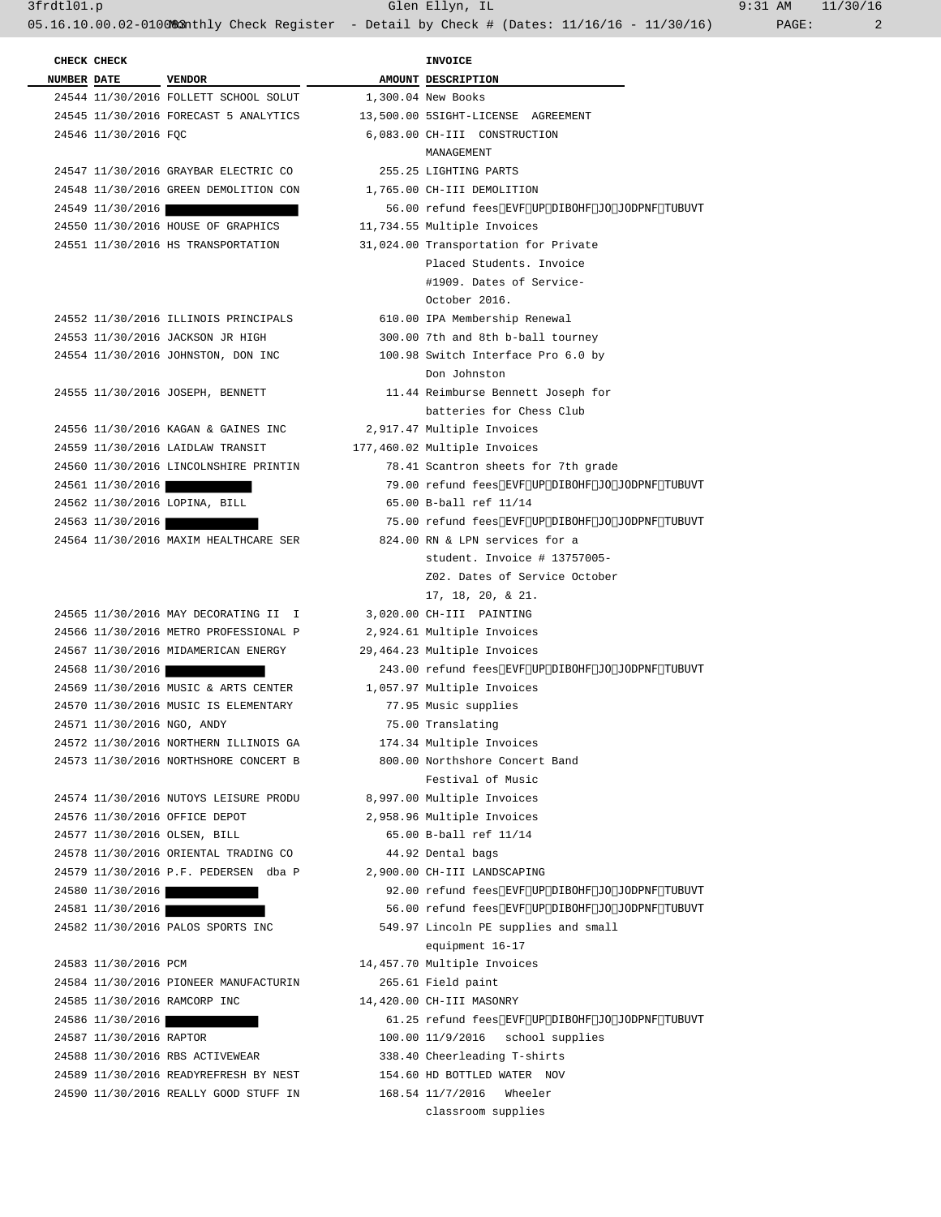3frdtl01.p Glen Ellyn, IL 9:31 AM 11/30/16 05.16.10.00.02-0100&2nthly Check Register - Detail by Check # (Dates: 11/16/16 - 11/30/16) PAGE: 2

 **CHECK CHECK INVOICE** 

**NUMBER** DATE VENDOR **VENDOR AMOUNT DESCRIPTION**  24544 11/30/2016 FOLLETT SCHOOL SOLUT 1,300.04 New Books 24545 11/30/2016 FORECAST 5 ANALYTICS 13,500.00 5SIGHT-LICENSE AGREEMENT 24546 11/30/2016 FQC 6,083.00 CH-III CONSTRUCTION MANAGEMENT 24547 11/30/2016 GRAYBAR ELECTRIC CO 255.25 LIGHTING PARTS 24548 11/30/2016 GREEN DEMOLITION CON 1,765.00 CH-III DEMOLITION 24549 11/30/2016 56.00 refund fees due to change in income status<br>24550 11/30/2016 HOUSE OF GRAPHICS 11,734.55 Multiple Invoices 24550 11/30/2016 HOUSE OF GRAPHICS 24551 11/30/2016 HS TRANSPORTATION 31,024.00 Transportation for Private Placed Students. Invoice #1909. Dates of Service- October 2016. 24552 11/30/2016 ILLINOIS PRINCIPALS 610.00 IPA Membership Renewal 24553 11/30/2016 JACKSON JR HIGH 300.00 7th and 8th b-ball tourney 24554 11/30/2016 JOHNSTON, DON INC 100.98 Switch Interface Pro 6.0 by Don Johnston 24555 11/30/2016 JOSEPH, BENNETT 11.44 Reimburse Bennett Joseph for batteries for Chess Club 24556 11/30/2016 KAGAN & GAINES INC 2,917.47 Multiple Invoices 24559 11/30/2016 LAIDLAW TRANSIT 177,460.02 Multiple Invoices 24560 11/30/2016 LINCOLNSHIRE PRINTIN 78.41 Scantron sheets for 7th grade 24561 11/30/2016 2000 79.00 refund fees due to change in income status 24562 11/30/2016 LOPINA, BILL 65.00 B-ball ref 11/14 24563 11/30/2016 2000 75.00 refund fees due to change in income status 24564 11/30/2016 MAXIM HEALTHCARE SER 824.00 RN & LPN services for a student. Invoice # 13757005- Z02. Dates of Service October 17, 18, 20, & 21. 24565 11/30/2016 MAY DECORATING II I 3,020.00 CH-III PAINTING 24566 11/30/2016 METRO PROFESSIONAL P 2,924.61 Multiple Invoices 24567 11/30/2016 MIDAMERICAN ENERGY 29,464.23 Multiple Invoices 24568 11/30/2016 243.00 refund fees due to change in income status 24569 11/30/2016 MUSIC & ARTS CENTER 1,057.97 Multiple Invoices 24570 11/30/2016 MUSIC IS ELEMENTARY 77.95 Music supplies 24571 11/30/2016 NGO, ANDY 75.00 Translating 24572 11/30/2016 NORTHERN ILLINOIS GA 174.34 Multiple Invoices 24573 11/30/2016 NORTHSHORE CONCERT B 800.00 Northshore Concert Band Festival of Music 24574 11/30/2016 NUTOYS LEISURE PRODU 8,997.00 Multiple Invoices 24576 11/30/2016 OFFICE DEPOT 2,958.96 Multiple Invoices 24577 11/30/2016 OLSEN, BILL 65.00 B-ball ref 11/14 24578 11/30/2016 ORIENTAL TRADING CO 44.92 Dental bags 24579 11/30/2016 P.F. PEDERSEN dba P 2,900.00 CH-III LANDSCAPING 24580 11/30/2016 **92.00 refund fees due to change in income status** 24581 11/30/2016 **12/30/2016** 56.00 refund fees due to change in income status 24582 11/30/2016 PALOS SPORTS INC 549.97 Lincoln PE supplies and small equipment 16-17 24583 11/30/2016 PCM 14,457.70 Multiple Invoices 24584 11/30/2016 PIONEER MANUFACTURIN 265.61 Field paint 24585 11/30/2016 RAMCORP INC 14,420.00 CH-III MASONRY 24586 11/30/2016 **12.35** 12.25 refund fees due to change in income status 24587 11/30/2016 RAPTOR 100.00 11/9/2016 school supplies 24588 11/30/2016 RBS ACTIVEWEAR 338.40 Cheerleading T-shirts 24589 11/30/2016 READYREFRESH BY NEST 154.60 HD BOTTLED WATER NOV 24590 11/30/2016 REALLY GOOD STUFF IN 168.54 11/7/2016 Wheeler classroom supplies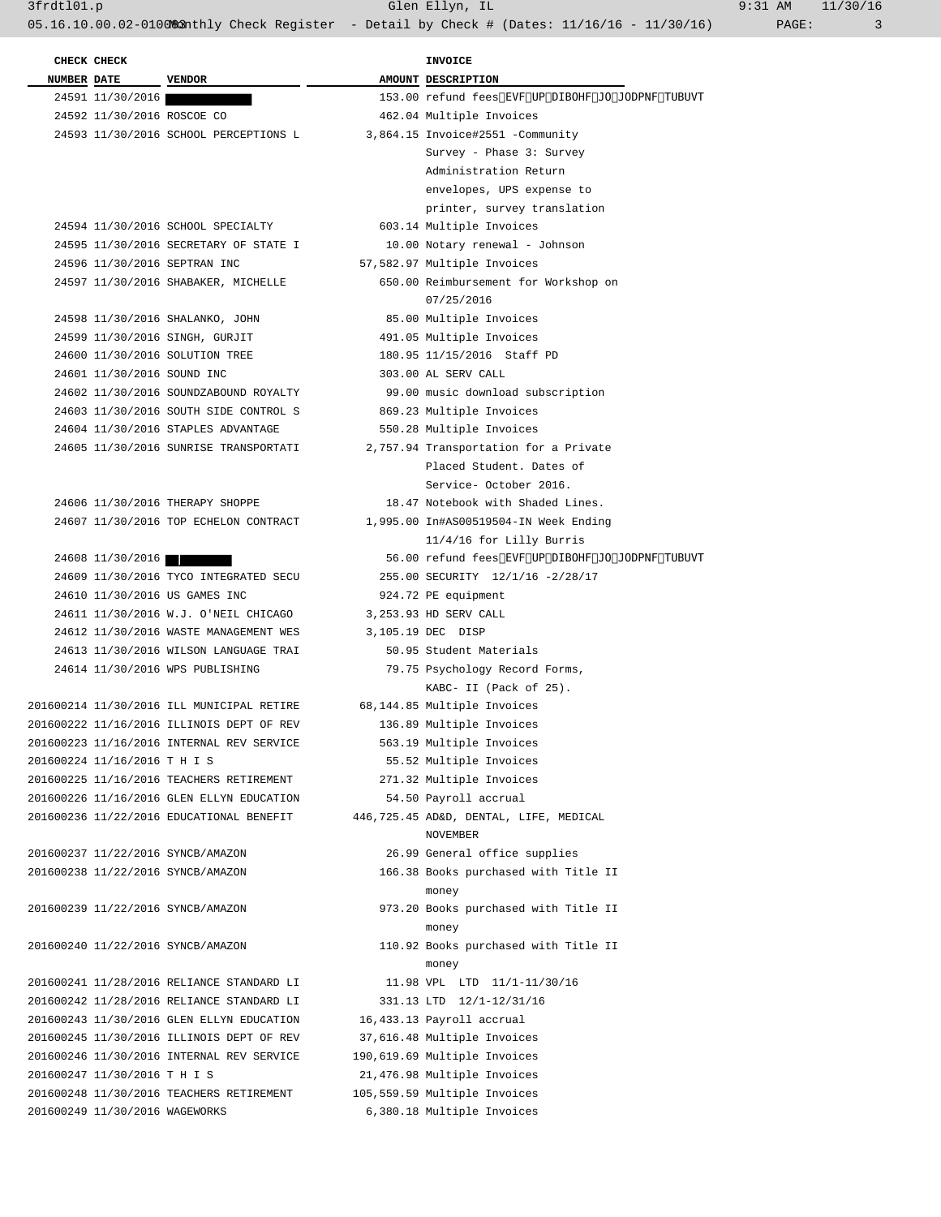**CHECK CHECK INVOICE NUMBER** DATE VENDOR **AMOUNT** DESCRIPTION 24591 11/30/2016 153.00 refund fees due to change in income status 24592 11/30/2016 ROSCOE CO 462.04 Multiple Invoices 24593 11/30/2016 SCHOOL PERCEPTIONS L 3,864.15 Invoice#2551 -Community Survey - Phase 3: Survey Administration Return envelopes, UPS expense to printer, survey translation 24594 11/30/2016 SCHOOL SPECIALTY 603.14 Multiple Invoices 24595 11/30/2016 SECRETARY OF STATE I 10.00 Notary renewal - Johnson 24596 11/30/2016 SEPTRAN INC 57,582.97 Multiple Invoices 24597 11/30/2016 SHABAKER, MICHELLE 650.00 Reimbursement for Workshop on 07/25/2016 24598 11/30/2016 SHALANKO, JOHN 85.00 Multiple Invoices 24599 11/30/2016 SINGH, GURJIT 491.05 Multiple Invoices 24600 11/30/2016 SOLUTION TREE 180.95 11/15/2016 Staff PD 24601 11/30/2016 SOUND INC 303.00 AL SERV CALL 24602 11/30/2016 SOUNDZABOUND ROYALTY 99.00 music download subscription 24603 11/30/2016 SOUTH SIDE CONTROL S 869.23 Multiple Invoices 24604 11/30/2016 STAPLES ADVANTAGE 550.28 Multiple Invoices 24605 11/30/2016 SUNRISE TRANSPORTATI 2,757.94 Transportation for a Private Placed Student. Dates of Service- October 2016. 24606 11/30/2016 THERAPY SHOPPE 18.47 Notebook with Shaded Lines. 24607 11/30/2016 TOP ECHELON CONTRACT 1,995.00 In#AS00519504-IN Week Ending 11/4/16 for Lilly Burris 24608 11/30/2016 **12/30** 12/30/2016 56.00 refund fees due to change in income status 24609 11/30/2016 TYCO INTEGRATED SECU 255.00 SECURITY 12/1/16 -2/28/17 24610 11/30/2016 US GAMES INC 924.72 PE equipment 24611 11/30/2016 W.J. O'NEIL CHICAGO 3,253.93 HD SERV CALL 24612 11/30/2016 WASTE MANAGEMENT WES 3,105.19 DEC DISP 24613 11/30/2016 WILSON LANGUAGE TRAI 50.95 Student Materials 24614 11/30/2016 WPS PUBLISHING 79.75 Psychology Record Forms, KABC- II (Pack of 25). 201600214 11/30/2016 ILL MUNICIPAL RETIRE 68,144.85 Multiple Invoices 201600222 11/16/2016 ILLINOIS DEPT OF REV 136.89 Multiple Invoices 201600223 11/16/2016 INTERNAL REV SERVICE 563.19 Multiple Invoices 201600224 11/16/2016 T H I S 55.52 Multiple Invoices 201600225 11/16/2016 TEACHERS RETIREMENT 271.32 Multiple Invoices 201600226 11/16/2016 GLEN ELLYN EDUCATION 54.50 Payroll accrual 201600236 11/22/2016 EDUCATIONAL BENEFIT 446,725.45 AD&D, DENTAL, LIFE, MEDICAL NOVEMBER 201600237 11/22/2016 SYNCB/AMAZON 26.99 General office supplies 201600238 11/22/2016 SYNCB/AMAZON 166.38 Books purchased with Title II money 201600239 11/22/2016 SYNCB/AMAZON 973.20 Books purchased with Title II money 201600240 11/22/2016 SYNCB/AMAZON 110.92 Books purchased with Title II money 201600241 11/28/2016 RELIANCE STANDARD LI 11.98 VPL LTD 11/1-11/30/16 201600242 11/28/2016 RELIANCE STANDARD LI 331.13 LTD 12/1-12/31/16 201600243 11/30/2016 GLEN ELLYN EDUCATION 16,433.13 Payroll accrual 201600245 11/30/2016 ILLINOIS DEPT OF REV 37,616.48 Multiple Invoices 201600246 11/30/2016 INTERNAL REV SERVICE 190,619.69 Multiple Invoices 201600247 11/30/2016 T H I S 21,476.98 Multiple Invoices 201600248 11/30/2016 TEACHERS RETIREMENT 105,559.59 Multiple Invoices 201600249 11/30/2016 WAGEWORKS 6,380.18 Multiple Invoices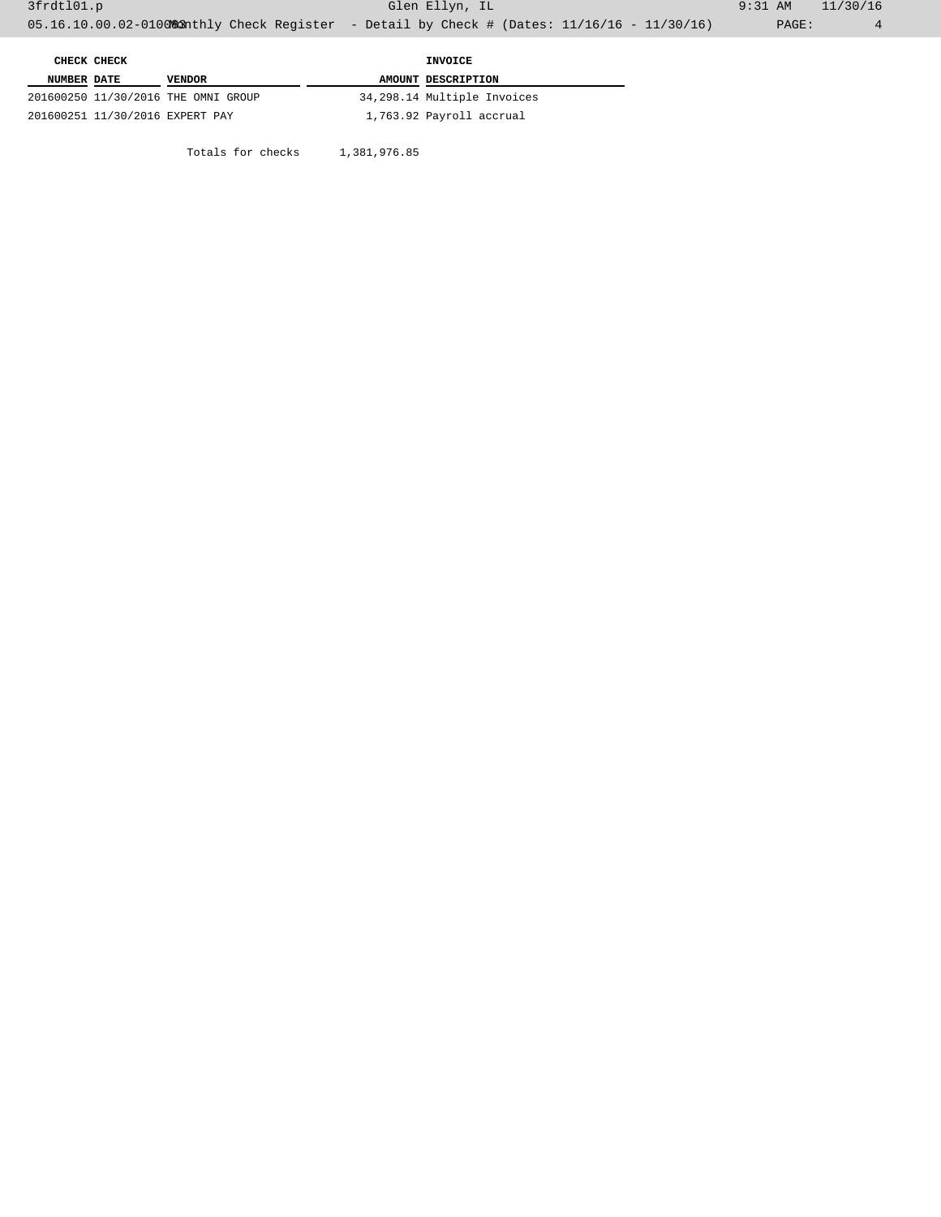Totals for checks 1,381,976.85